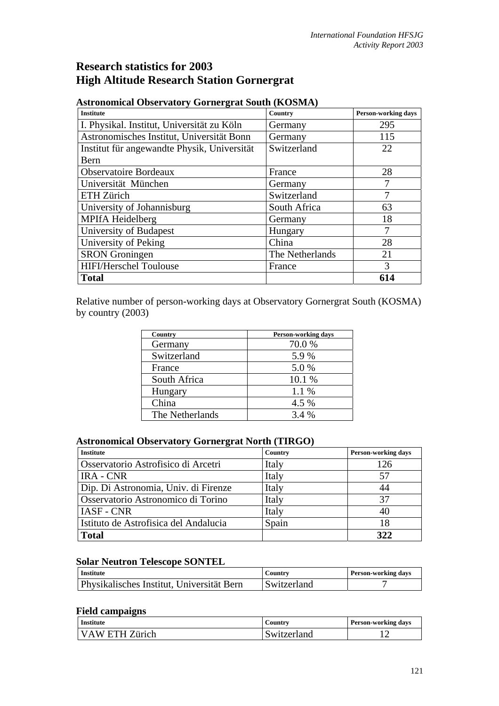# **Research statistics for 2003 High Altitude Research Station Gornergrat**

| <b>Institute</b>                            | Country         | Person-working days |
|---------------------------------------------|-----------------|---------------------|
| I. Physikal. Institut, Universität zu Köln  | Germany         | 295                 |
| Astronomisches Institut, Universität Bonn   | Germany         | 115                 |
| Institut für angewandte Physik, Universität | Switzerland     | 22                  |
| Bern                                        |                 |                     |
| <b>Observatoire Bordeaux</b>                | France          | 28                  |
| Universität München                         | Germany         |                     |
| ETH Zürich                                  | Switzerland     |                     |
| University of Johannisburg                  | South Africa    | 63                  |
| MPIfA Heidelberg                            | Germany         | 18                  |
| University of Budapest                      | Hungary         |                     |
| University of Peking                        | China           | 28                  |
| <b>SRON</b> Groningen                       | The Netherlands | 21                  |
| <b>HIFI/Herschel Toulouse</b>               | France          | 3                   |
| <b>Total</b>                                |                 | 614                 |

## **Astronomical Observatory Gornergrat South (KOSMA)**

Relative number of person-working days at Observatory Gornergrat South (KOSMA) by country (2003)

| Country         | <b>Person-working days</b> |  |
|-----------------|----------------------------|--|
| Germany         | 70.0%                      |  |
| Switzerland     | 5.9%                       |  |
| France          | 5.0%                       |  |
| South Africa    | 10.1 %                     |  |
| Hungary         | 1.1 %                      |  |
| China           | 4.5 %                      |  |
| The Netherlands | 3.4 %                      |  |

#### **Astronomical Observatory Gornergrat North (TIRGO)**

| <b>Institute</b>                      | Country | <b>Person-working days</b> |
|---------------------------------------|---------|----------------------------|
| Osservatorio Astrofisico di Arcetri   | Italy   | 126                        |
| <b>IRA - CNR</b>                      | Italy   | 57                         |
| Dip. Di Astronomia, Univ. di Firenze  | Italy   | 44                         |
| Osservatorio Astronomico di Torino    | Italy   | 37                         |
| <b>IASF - CNR</b>                     | Italy   | 40                         |
| Istituto de Astrofisica del Andalucia | Spain   | 18                         |
| <b>Total</b>                          |         | 322                        |

## **Solar Neutron Telescope SONTEL**

| <b>Institute</b>                                 | Country     | <b>Person-working days</b> |
|--------------------------------------------------|-------------|----------------------------|
| <b>Physikalisches Institut, Universität Bern</b> | Switzerland |                            |

### **Field campaigns**

| <b>Institute</b> | Country     | <b>Person-working days</b> |
|------------------|-------------|----------------------------|
| VAW ETH Zürich   | Switzerland |                            |